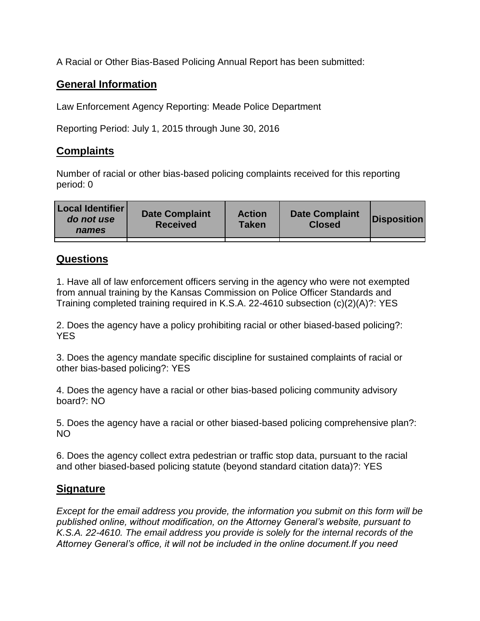A Racial or Other Bias-Based Policing Annual Report has been submitted:

## **General Information**

Law Enforcement Agency Reporting: Meade Police Department

Reporting Period: July 1, 2015 through June 30, 2016

## **Complaints**

Number of racial or other bias-based policing complaints received for this reporting period: 0

| <b>Local Identifier</b><br>do not use<br>names | <b>Date Complaint</b><br><b>Received</b> | <b>Action</b><br><b>Taken</b> | <b>Date Complaint</b><br><b>Closed</b> | Disposition |
|------------------------------------------------|------------------------------------------|-------------------------------|----------------------------------------|-------------|
|                                                |                                          |                               |                                        |             |

## **Questions**

1. Have all of law enforcement officers serving in the agency who were not exempted from annual training by the Kansas Commission on Police Officer Standards and Training completed training required in K.S.A. 22-4610 subsection (c)(2)(A)?: YES

2. Does the agency have a policy prohibiting racial or other biased-based policing?: YES

3. Does the agency mandate specific discipline for sustained complaints of racial or other bias-based policing?: YES

4. Does the agency have a racial or other bias-based policing community advisory board?: NO

5. Does the agency have a racial or other biased-based policing comprehensive plan?: NO

6. Does the agency collect extra pedestrian or traffic stop data, pursuant to the racial and other biased-based policing statute (beyond standard citation data)?: YES

## **Signature**

*Except for the email address you provide, the information you submit on this form will be published online, without modification, on the Attorney General's website, pursuant to K.S.A. 22-4610. The email address you provide is solely for the internal records of the Attorney General's office, it will not be included in the online document.If you need*